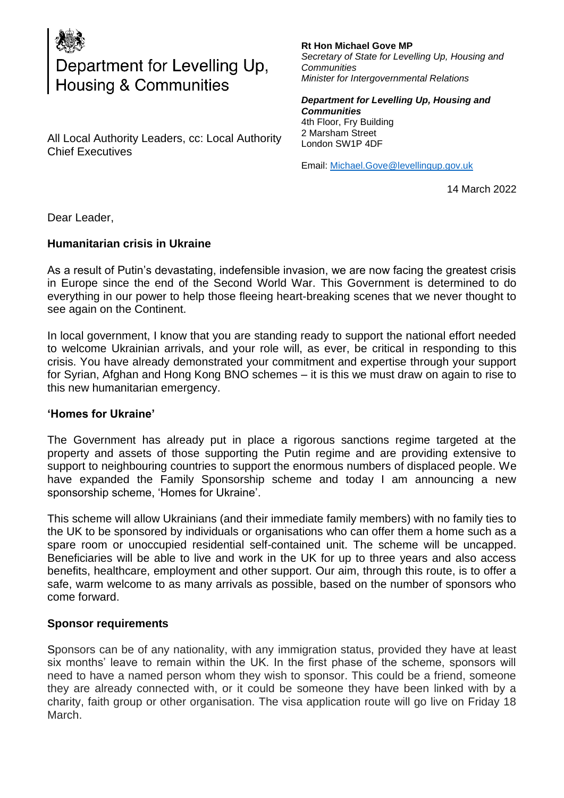

# Department for Levelling Up,<br>Housing & Communities

All Local Authority Leaders, cc: Local Authority Chief Executives

#### **Rt Hon Michael Gove MP** *Secretary of State for Levelling Up, Housing and Communities Minister for Intergovernmental Relations*

*Department for Levelling Up, Housing and Communities*  4th Floor, Fry Building 2 Marsham Street London SW1P 4DF

Email: [Michael.Gove@levellingup.gov.uk](mailto:Michael.Gove@levellingup.gov.uk)

14 March 2022

Dear Leader,

# **Humanitarian crisis in Ukraine**

As a result of Putin's devastating, indefensible invasion, we are now facing the greatest crisis in Europe since the end of the Second World War. This Government is determined to do everything in our power to help those fleeing heart-breaking scenes that we never thought to see again on the Continent.

In local government, I know that you are standing ready to support the national effort needed to welcome Ukrainian arrivals, and your role will, as ever, be critical in responding to this crisis. You have already demonstrated your commitment and expertise through your support for Syrian, Afghan and Hong Kong BNO schemes – it is this we must draw on again to rise to this new humanitarian emergency.

### **'Homes for Ukraine'**

The Government has already put in place a rigorous sanctions regime targeted at the property and assets of those supporting the Putin regime and are providing extensive to support to neighbouring countries to support the enormous numbers of displaced people. We have expanded the Family Sponsorship scheme and today I am announcing a new sponsorship scheme, 'Homes for Ukraine'.

This scheme will allow Ukrainians (and their immediate family members) with no family ties to the UK to be sponsored by individuals or organisations who can offer them a home such as a spare room or unoccupied residential self-contained unit. The scheme will be uncapped. Beneficiaries will be able to live and work in the UK for up to three years and also access benefits, healthcare, employment and other support. Our aim, through this route, is to offer a safe, warm welcome to as many arrivals as possible, based on the number of sponsors who come forward.

# **Sponsor requirements**

Sponsors can be of any nationality, with any immigration status, provided they have at least six months' leave to remain within the UK. In the first phase of the scheme, sponsors will need to have a named person whom they wish to sponsor. This could be a friend, someone they are already connected with, or it could be someone they have been linked with by a charity, faith group or other organisation. The visa application route will go live on Friday 18 March.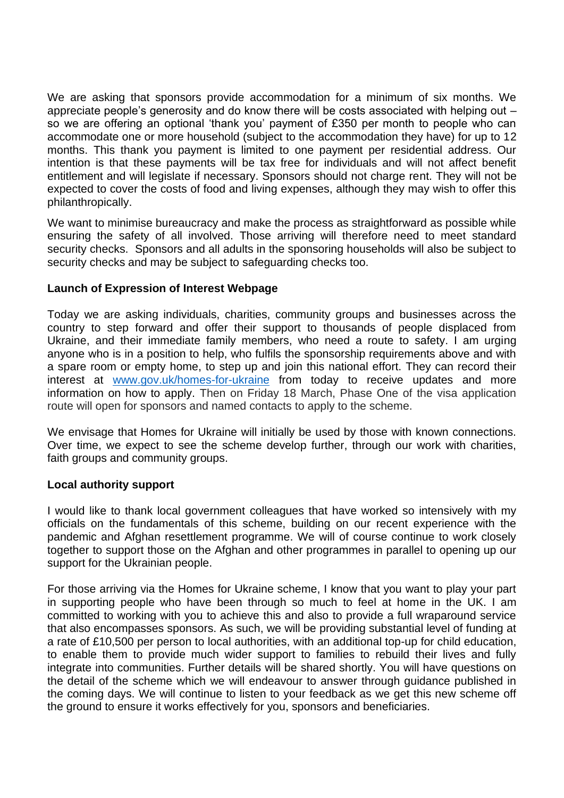We are asking that sponsors provide accommodation for a minimum of six months. We appreciate people's generosity and do know there will be costs associated with helping out – so we are offering an optional 'thank you' payment of £350 per month to people who can accommodate one or more household (subject to the accommodation they have) for up to 12 months. This thank you payment is limited to one payment per residential address. Our intention is that these payments will be tax free for individuals and will not affect benefit entitlement and will legislate if necessary. Sponsors should not charge rent. They will not be expected to cover the costs of food and living expenses, although they may wish to offer this philanthropically.

We want to minimise bureaucracy and make the process as straightforward as possible while ensuring the safety of all involved. Those arriving will therefore need to meet standard security checks. Sponsors and all adults in the sponsoring households will also be subject to security checks and may be subject to safeguarding checks too.

# **Launch of Expression of Interest Webpage**

Today we are asking individuals, charities, community groups and businesses across the country to step forward and offer their support to thousands of people displaced from Ukraine, and their immediate family members, who need a route to safety. I am urging anyone who is in a position to help, who fulfils the sponsorship requirements above and with a spare room or empty home, to step up and join this national effort. They can record their interest at [www.gov.uk/homes-for-ukraine](https://www.gov.uk/homes-for-ukraine) from today to receive updates and more information on how to apply. Then on Friday 18 March, Phase One of the visa application route will open for sponsors and named contacts to apply to the scheme.

We envisage that Homes for Ukraine will initially be used by those with known connections. Over time, we expect to see the scheme develop further, through our work with charities, faith groups and community groups.

# **Local authority support**

I would like to thank local government colleagues that have worked so intensively with my officials on the fundamentals of this scheme, building on our recent experience with the pandemic and Afghan resettlement programme. We will of course continue to work closely together to support those on the Afghan and other programmes in parallel to opening up our support for the Ukrainian people.

For those arriving via the Homes for Ukraine scheme, I know that you want to play your part in supporting people who have been through so much to feel at home in the UK. I am committed to working with you to achieve this and also to provide a full wraparound service that also encompasses sponsors. As such, we will be providing substantial level of funding at a rate of £10,500 per person to local authorities, with an additional top-up for child education, to enable them to provide much wider support to families to rebuild their lives and fully integrate into communities. Further details will be shared shortly. You will have questions on the detail of the scheme which we will endeavour to answer through guidance published in the coming days. We will continue to listen to your feedback as we get this new scheme off the ground to ensure it works effectively for you, sponsors and beneficiaries.